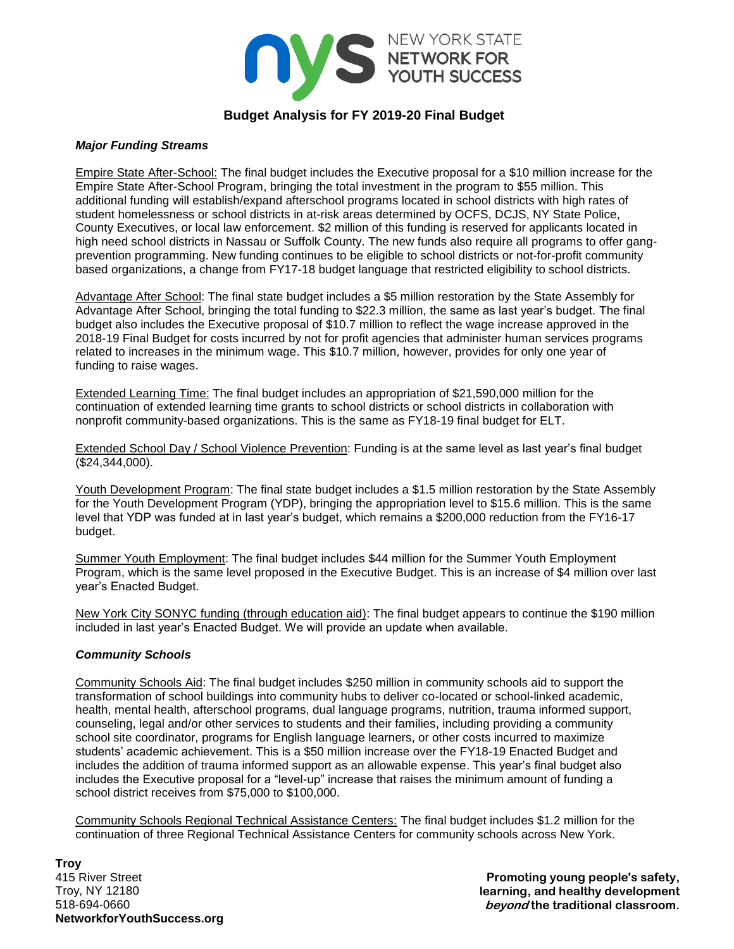

# **Budget Analysis for FY 2019-20 Final Budget**

#### *Major Funding Streams*

Empire State After-School: The final budget includes the Executive proposal for a \$10 million increase for the Empire State After-School Program, bringing the total investment in the program to \$55 million. This additional funding will establish/expand afterschool programs located in school districts with high rates of student homelessness or school districts in at-risk areas determined by OCFS, DCJS, NY State Police, County Executives, or local law enforcement. \$2 million of this funding is reserved for applicants located in high need school districts in Nassau or Suffolk County. The new funds also require all programs to offer gangprevention programming. New funding continues to be eligible to school districts or not-for-profit community based organizations, a change from FY17-18 budget language that restricted eligibility to school districts.

Advantage After School: The final state budget includes a \$5 million restoration by the State Assembly for Advantage After School, bringing the total funding to \$22.3 million, the same as last year's budget. The final budget also includes the Executive proposal of \$10.7 million to reflect the wage increase approved in the 2018-19 Final Budget for costs incurred by not for profit agencies that administer human services programs related to increases in the minimum wage. This \$10.7 million, however, provides for only one year of funding to raise wages.

Extended Learning Time: The final budget includes an appropriation of \$21,590,000 million for the continuation of extended learning time grants to school districts or school districts in collaboration with nonprofit community-based organizations. This is the same as FY18-19 final budget for ELT.

Extended School Day / School Violence Prevention: Funding is at the same level as last year's final budget (\$24,344,000).

Youth Development Program: The final state budget includes a \$1.5 million restoration by the State Assembly for the Youth Development Program (YDP), bringing the appropriation level to \$15.6 million. This is the same level that YDP was funded at in last year's budget, which remains a \$200,000 reduction from the FY16-17 budget.

Summer Youth Employment: The final budget includes \$44 million for the Summer Youth Employment Program, which is the same level proposed in the Executive Budget. This is an increase of \$4 million over last year's Enacted Budget.

New York City SONYC funding (through education aid): The final budget appears to continue the \$190 million included in last year's Enacted Budget. We will provide an update when available.

## *Community Schools*

Community Schools Aid: The final budget includes \$250 million in community schools aid to support the transformation of school buildings into community hubs to deliver co-located or school-linked academic, health, mental health, afterschool programs, dual language programs, nutrition, trauma informed support, counseling, legal and/or other services to students and their families, including providing a community school site coordinator, programs for English language learners, or other costs incurred to maximize students' academic achievement. This is a \$50 million increase over the FY18-19 Enacted Budget and includes the addition of trauma informed support as an allowable expense. This year's final budget also includes the Executive proposal for a "level-up" increase that raises the minimum amount of funding a school district receives from \$75,000 to \$100,000.

Community Schools Regional Technical Assistance Centers: The final budget includes \$1.2 million for the continuation of three Regional Technical Assistance Centers for community schools across New York.

**Troy** 415 River Street Troy, NY 12180 518-694-0660 **NetworkforYouthSuccess.org**

**Promoting young people's safety, learning, and healthy development beyond the traditional classroom.**